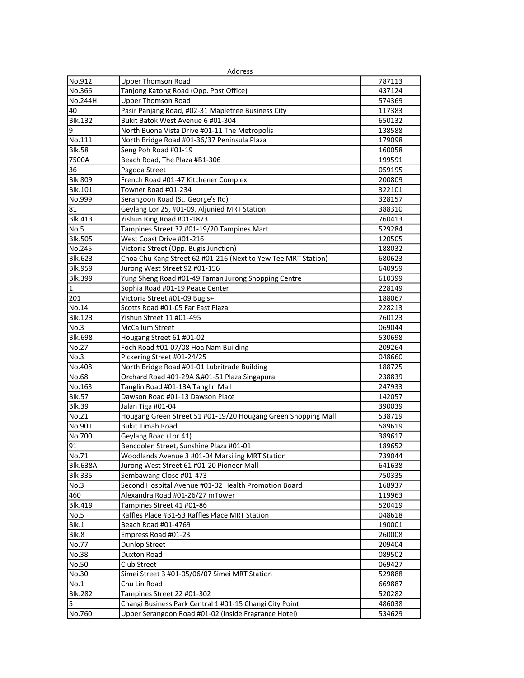|                 | Address                                                       |        |
|-----------------|---------------------------------------------------------------|--------|
| No.912          | <b>Upper Thomson Road</b>                                     | 787113 |
| No.366          | Tanjong Katong Road (Opp. Post Office)                        | 437124 |
| No.244H         | <b>Upper Thomson Road</b>                                     | 574369 |
| 40              | Pasir Panjang Road, #02-31 Mapletree Business City            | 117383 |
| <b>Blk.132</b>  | Bukit Batok West Avenue 6 #01-304                             | 650132 |
| 9               | North Buona Vista Drive #01-11 The Metropolis                 | 138588 |
| No.111          | North Bridge Road #01-36/37 Peninsula Plaza                   | 179098 |
| <b>Blk.58</b>   | Seng Poh Road #01-19                                          | 160058 |
| 7500A           | Beach Road, The Plaza #B1-306                                 | 199591 |
| 36              | Pagoda Street                                                 | 059195 |
| <b>Blk 809</b>  | French Road #01-47 Kitchener Complex                          | 200809 |
| <b>Blk.101</b>  | Towner Road #01-234                                           | 322101 |
| No.999          | Serangoon Road (St. George's Rd)                              | 328157 |
| 81              | Geylang Lor 25, #01-09, Aljunied MRT Station                  | 388310 |
| <b>Blk.413</b>  | Yishun Ring Road #01-1873                                     | 760413 |
| No.5            | Tampines Street 32 #01-19/20 Tampines Mart                    | 529284 |
| <b>Blk.505</b>  | West Coast Drive #01-216                                      | 120505 |
| No.245          | Victoria Street (Opp. Bugis Junction)                         | 188032 |
| <b>Blk.623</b>  | Choa Chu Kang Street 62 #01-216 (Next to Yew Tee MRT Station) | 680623 |
| <b>Blk.959</b>  | Jurong West Street 92 #01-156                                 | 640959 |
| <b>Blk.399</b>  | Yung Sheng Road #01-49 Taman Jurong Shopping Centre           | 610399 |
| $\vert$ 1       | Sophia Road #01-19 Peace Center                               | 228149 |
| 201             | Victoria Street #01-09 Bugis+                                 | 188067 |
| No.14           | Scotts Road #01-05 Far East Plaza                             | 228213 |
| <b>Blk.123</b>  | Yishun Street 11 #01-495                                      | 760123 |
| No.3            | <b>McCallum Street</b>                                        | 069044 |
| <b>Blk.698</b>  | Hougang Street 61 #01-02                                      | 530698 |
| No.27           | Foch Road #01-07/08 Hoa Nam Building                          | 209264 |
| No.3            | Pickering Street #01-24/25                                    | 048660 |
| No.408          | North Bridge Road #01-01 Lubritrade Building                  | 188725 |
| No.68           | Orchard Road #01-29A -51 Plaza Singapura                     | 238839 |
| No.163          | Tanglin Road #01-13A Tanglin Mall                             | 247933 |
| <b>Blk.57</b>   | Dawson Road #01-13 Dawson Place                               | 142057 |
| Blk.39          | Jalan Tiga #01-04                                             | 390039 |
| No.21           | Hougang Green Street 51 #01-19/20 Hougang Green Shopping Mall | 538719 |
| No.901          | <b>Bukit Timah Road</b>                                       | 589619 |
| No.700          | Geylang Road (Lor.41)                                         | 389617 |
| 191             | Bencoolen Street, Sunshine Plaza #01-01                       | 189652 |
| No.71           | Woodlands Avenue 3 #01-04 Marsiling MRT Station               | 739044 |
| <b>Blk.638A</b> | Jurong West Street 61 #01-20 Pioneer Mall                     | 641638 |
| <b>Blk 335</b>  | Sembawang Close #01-473                                       | 750335 |
| No.3            | Second Hospital Avenue #01-02 Health Promotion Board          | 168937 |
| 460             | Alexandra Road #01-26/27 mTower                               | 119963 |
| <b>Blk.419</b>  | Tampines Street 41 #01-86                                     | 520419 |
| No.5            | Raffles Place #B1-53 Raffles Place MRT Station                | 048618 |
| Blk.1           | Beach Road #01-4769                                           | 190001 |
| Blk.8           | Empress Road #01-23                                           | 260008 |
| No.77           | <b>Dunlop Street</b>                                          | 209404 |
| No.38           | Duxton Road                                                   | 089502 |
| No.50           | Club Street                                                   | 069427 |
| No.30           | Simei Street 3 #01-05/06/07 Simei MRT Station                 | 529888 |
| No.1            | Chu Lin Road                                                  | 669887 |
| <b>Blk.282</b>  | Tampines Street 22 #01-302                                    | 520282 |
| 5               | Changi Business Park Central 1 #01-15 Changi City Point       | 486038 |
| No.760          | Upper Serangoon Road #01-02 (inside Fragrance Hotel)          | 534629 |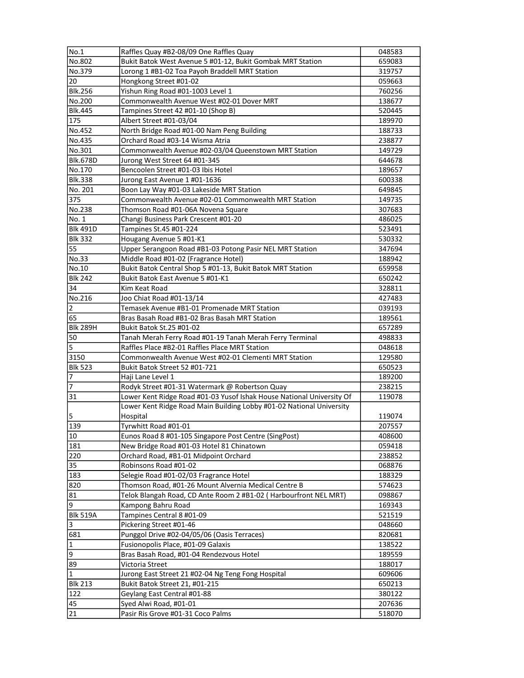| No.1            | Raffles Quay #B2-08/09 One Raffles Quay                                           | 048583           |
|-----------------|-----------------------------------------------------------------------------------|------------------|
| No.802          | Bukit Batok West Avenue 5 #01-12, Bukit Gombak MRT Station                        | 659083           |
| No.379          | Lorong 1 #B1-02 Toa Payoh Braddell MRT Station                                    | 319757           |
| 20              | Hongkong Street #01-02                                                            | 059663           |
| <b>Blk.256</b>  | Yishun Ring Road #01-1003 Level 1                                                 | 760256           |
| No.200          | Commonwealth Avenue West #02-01 Dover MRT                                         | 138677           |
| <b>Blk.445</b>  | Tampines Street 42 #01-10 (Shop B)                                                | 520445           |
| 175             | Albert Street #01-03/04                                                           | 189970           |
| No.452          | North Bridge Road #01-00 Nam Peng Building                                        | 188733           |
| No.435          | Orchard Road #03-14 Wisma Atria                                                   | 238877           |
| No.301          | Commonwealth Avenue #02-03/04 Queenstown MRT Station                              | 149729           |
| <b>Blk.678D</b> | Jurong West Street 64 #01-345                                                     | 644678           |
| No.170          | Bencoolen Street #01-03 Ibis Hotel                                                | 189657           |
| <b>Blk.338</b>  | Jurong East Avenue 1 #01-1636                                                     | 600338           |
| No. 201         | Boon Lay Way #01-03 Lakeside MRT Station                                          | 649845           |
| 375             | Commonwealth Avenue #02-01 Commonwealth MRT Station                               | 149735           |
| No.238          | Thomson Road #01-06A Novena Square                                                | 307683           |
| No. 1           | Changi Business Park Crescent #01-20                                              | 486025           |
| <b>Blk 491D</b> | Tampines St.45 #01-224                                                            | 523491           |
| <b>Blk 332</b>  | Hougang Avenue 5 #01-K1                                                           | 530332           |
| 55              | Upper Serangoon Road #B1-03 Potong Pasir NEL MRT Station                          | 347694           |
| No.33           | Middle Road #01-02 (Fragrance Hotel)                                              | 188942           |
| No.10           | Bukit Batok Central Shop 5 #01-13, Bukit Batok MRT Station                        | 659958           |
| <b>Blk 242</b>  | Bukit Batok East Avenue 5 #01-K1                                                  | 650242           |
| 34              | Kim Keat Road                                                                     | 328811           |
| No.216          | Joo Chiat Road #01-13/14                                                          | 427483           |
| $\overline{2}$  | Temasek Avenue #B1-01 Promenade MRT Station                                       | 039193           |
| 65              | Bras Basah Road #B1-02 Bras Basah MRT Station                                     | 189561           |
| <b>Blk 289H</b> | Bukit Batok St.25 #01-02                                                          | 657289           |
| 50              | Tanah Merah Ferry Road #01-19 Tanah Merah Ferry Terminal                          | 498833           |
| 5               | Raffles Place #B2-01 Raffles Place MRT Station                                    | 048618           |
| 3150            | Commonwealth Avenue West #02-01 Clementi MRT Station                              | 129580           |
| <b>Blk 523</b>  | Bukit Batok Street 52 #01-721                                                     | 650523           |
| 7               | Haji Lane Level 1                                                                 | 189200           |
| 7               | Rodyk Street #01-31 Watermark @ Robertson Quay                                    | 238215           |
| 31              | Lower Kent Ridge Road #01-03 Yusof Ishak House National University Of             | 119078           |
|                 | Lower Kent Ridge Road Main Building Lobby #01-02 National University              |                  |
| 5               | Hospital                                                                          | 119074           |
| 139             | Tyrwhitt Road #01-01                                                              | 207557           |
| 10              | Eunos Road 8 #01-105 Singapore Post Centre (SingPost)                             | 408600           |
| 181             | New Bridge Road #01-03 Hotel 81 Chinatown                                         | 059418           |
| 220             | Orchard Road, #B1-01 Midpoint Orchard                                             | 238852           |
| 35              | Robinsons Road #01-02                                                             | 068876           |
| 183             | Selegie Road #01-02/03 Fragrance Hotel                                            | 188329           |
| 820             | Thomson Road, #01-26 Mount Alvernia Medical Centre B                              | 574623           |
| 81              | Telok Blangah Road, CD Ante Room 2 #B1-02 ( Harbourfront NEL MRT)                 | 098867           |
| 9               | Kampong Bahru Road                                                                | 169343           |
| Blk 519A        | Tampines Central 8 #01-09                                                         |                  |
| 3               | Pickering Street #01-46                                                           | 521519<br>048660 |
| 681             |                                                                                   |                  |
| $\vert$ 1       | Punggol Drive #02-04/05/06 (Oasis Terraces)<br>Fusionopolis Place, #01-09 Galaxis | 820681           |
| 9               |                                                                                   | 138522           |
|                 | Bras Basah Road, #01-04 Rendezvous Hotel                                          | 189559           |
| 89              | Victoria Street                                                                   | 188017           |
| I1              | Jurong East Street 21 #02-04 Ng Teng Fong Hospital                                | 609606           |
| <b>Blk 213</b>  | Bukit Batok Street 21, #01-215                                                    | 650213           |
| 122             | Geylang East Central #01-88                                                       | 380122           |
| 45              | Syed Alwi Road, #01-01                                                            | 207636           |
| 21              | Pasir Ris Grove #01-31 Coco Palms                                                 | 518070           |